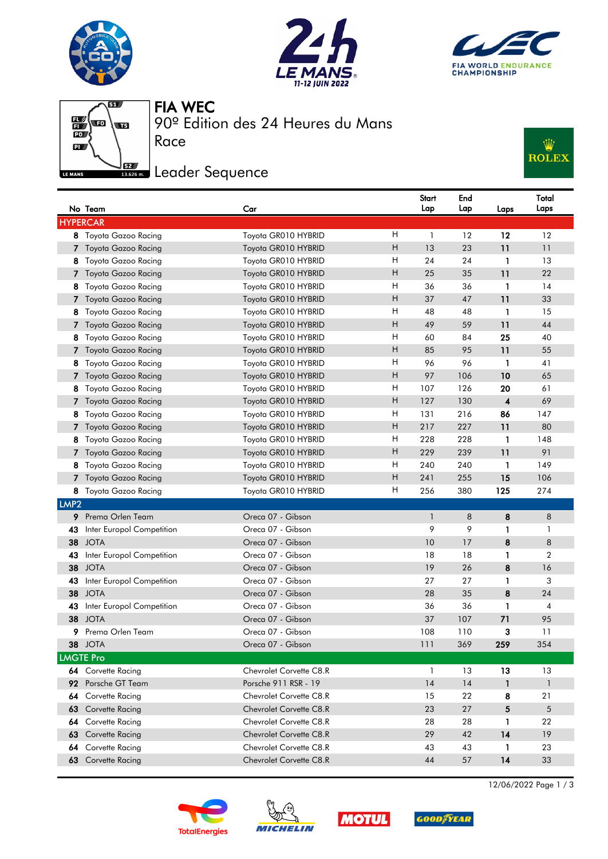







FIA WEC

Race

90º Edition des 24 Heures du Mans

## <u>Jse Jeader Sequence</u>



|                  | No Team                   | Car                            |   | Start<br>Lap | End<br>Lap | Laps                    | Total<br>Laps  |  |
|------------------|---------------------------|--------------------------------|---|--------------|------------|-------------------------|----------------|--|
| <b>HYPERCAR</b>  |                           |                                |   |              |            |                         |                |  |
|                  | 8 Toyota Gazoo Racing     | Toyota GR010 HYBRID            | H | 1            | 12         | 12                      | 12             |  |
|                  | Toyota Gazoo Racing       | Toyota GR010 HYBRID            | Η | 13           | 23         | 11                      | 11             |  |
| 8.               | Toyota Gazoo Racing       | Toyota GR010 HYBRID            | Н | 24           | 24         | 1                       | 13             |  |
|                  | Toyota Gazoo Racing       | Toyota GR010 HYBRID            | н | 25           | 35         | 11                      | 22             |  |
| 8                | Toyota Gazoo Racing       | Toyota GR010 HYBRID            | H | 36           | 36         | 1                       | 14             |  |
| 7.               | Toyota Gazoo Racing       | Toyota GR010 HYBRID            | H | 37           | 47         | 11                      | 33             |  |
| 8                | Toyota Gazoo Racing       | Toyota GR010 HYBRID            | H | 48           | 48         | 1                       | 15             |  |
| 7.               | Toyota Gazoo Racing       | Toyota GR010 HYBRID            | Η | 49           | 59         | 11                      | 44             |  |
| 8                | Toyota Gazoo Racing       | Toyota GR010 HYBRID            | Н | 60           | 84         | 25                      | 40             |  |
| 7.               | Toyota Gazoo Racing       | Toyota GR010 HYBRID            | Н | 85           | 95         | 11                      | 55             |  |
| 8                | Toyota Gazoo Racing       | Toyota GR010 HYBRID            | H | 96           | 96         | 1                       | 41             |  |
| 7.               | Toyota Gazoo Racing       | Toyota GR010 HYBRID            | H | 97           | 106        | 10                      | 65             |  |
| 8                | Toyota Gazoo Racing       | Toyota GR010 HYBRID            | H | 107          | 126        | 20                      | 61             |  |
|                  | Toyota Gazoo Racing       | Toyota GR010 HYBRID            | н | 127          | 130        | $\overline{\mathbf{4}}$ | 69             |  |
| 8                | Toyota Gazoo Racing       | Toyota GR010 HYBRID            | H | 131          | 216        | 86                      | 147            |  |
|                  | Toyota Gazoo Racing       | Toyota GR010 HYBRID            | H | 217          | 227        | 11                      | 80             |  |
| 8                | Toyota Gazoo Racing       | Toyota GR010 HYBRID            | H | 228          | 228        | 1                       | 148            |  |
| 7                | Toyota Gazoo Racing       | Toyota GR010 HYBRID            | Н | 229          | 239        | 11                      | 91             |  |
| 8                | Toyota Gazoo Racing       | Toyota GR010 HYBRID            | H | 240          | 240        | 1                       | 149            |  |
| 7                | Toyota Gazoo Racing       | Toyota GR010 HYBRID            | Н | 241          | 255        | 15                      | 106            |  |
|                  | 8 Toyota Gazoo Racing     | Toyota GR010 HYBRID            | H | 256          | 380        | 125                     | 274            |  |
| LMP <sub>2</sub> |                           |                                |   |              |            |                         |                |  |
| 9.               | Prema Orlen Team          | Oreca 07 - Gibson              |   | $\mathbf{1}$ | 8          | 8                       | 8              |  |
| 43               | Inter Europol Competition | Oreca 07 - Gibson              |   | 9            | 9          | 1                       | 1              |  |
| 38               | <b>JOTA</b>               | Oreca 07 - Gibson              |   | 10           | 17         | 8                       | 8              |  |
| 43               | Inter Europol Competition | Oreca 07 - Gibson              |   | 18           | 18         | $\mathbf{1}$            | $\overline{2}$ |  |
| 38               | <b>JOTA</b>               | Oreca 07 - Gibson              |   | 19           | 26         | 8                       | 16             |  |
| 43               | Inter Europol Competition | Oreca 07 - Gibson              |   | 27           | 27         | 1                       | 3              |  |
| 38               | <b>JOTA</b>               | Oreca 07 - Gibson              |   | 28           | 35         | 8                       | 24             |  |
| 43               | Inter Europol Competition | Oreca 07 - Gibson              |   | 36           | 36         | 1                       | 4              |  |
| 38               | <b>JOTA</b>               | Oreca 07 - Gibson              |   | 37           | 107        | 71                      | 95             |  |
| 9                | Prema Orlen Team          | Oreca 07 - Gibson              |   | 108          | 110        | 3                       | 11             |  |
|                  | 38 JOTA                   | Oreca 07 - Gibson              |   | 111          | 369        | 259                     | 354            |  |
|                  | <b>LMGTE Pro</b>          |                                |   |              |            |                         |                |  |
|                  | 64 Corvette Racing        | Chevrolet Corvette C8.R        |   | 1            | 13         | 13                      | 13             |  |
| 92.              | Porsche GT Team           | Porsche 911 RSR - 19           |   | 14           | 14         | 1                       | $\mathbf{1}$   |  |
| 64               | Corvette Racing           | Chevrolet Corvette C8.R        |   | 15           | 22         | 8                       | 21             |  |
| 63               | Corvette Racing           | Chevrolet Corvette C8.R        |   | 23           | 27         | 5                       | 5              |  |
| 64               | Corvette Racing           | Chevrolet Corvette C8.R        |   | 28           | 28         | 1                       | 22             |  |
| 63               | Corvette Racing           | <b>Chevrolet Corvette C8.R</b> |   | 29           | 42         | 14                      | 19             |  |
| 64               | Corvette Racing           | Chevrolet Corvette C8.R        |   | 43           | 43         | 1                       | 23             |  |
|                  | 63 Corvette Racing        | Chevrolet Corvette C8.R        |   | 44           | 57         | 14                      | 33             |  |









12/06/2022 Page 1 / 3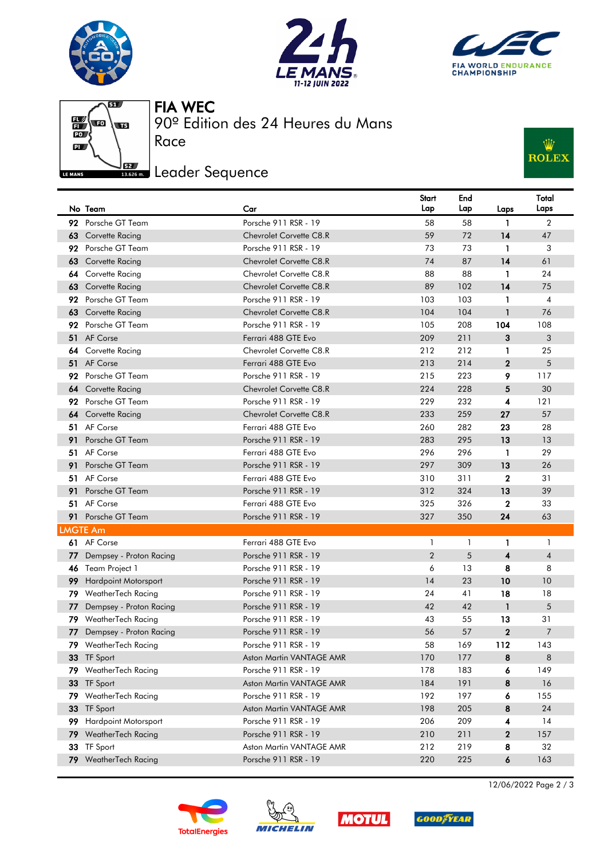

■

 $\mathbf{P}$ 

LE MANS

 $\overline{\mathbf{g}}$ 

av)







Race

90º Edition des 24 Heures du Mans

## <u>Jse Jeader Sequence</u>



|                 | No Team                     | Car                      | Start<br>Lap   | End<br>Lap | Laps           | Total<br>Laps  |
|-----------------|-----------------------------|--------------------------|----------------|------------|----------------|----------------|
|                 | 92 Porsche GT Team          | Porsche 911 RSR - 19     | 58             | 58         | $\mathbf{1}$   | $\overline{2}$ |
|                 | 63 Corvette Racing          | Chevrolet Corvette C8.R  | 59             | 72         | 14             | 47             |
|                 | 92 Porsche GT Team          | Porsche 911 RSR - 19     | 73             | 73         | $\mathbf{1}$   | 3              |
|                 | 63 Corvette Racing          | Chevrolet Corvette C8.R  | 74             | 87         | 14             | 61             |
|                 | 64 Corvette Racing          | Chevrolet Corvette C8.R  | 88             | 88         | $\mathbf{1}$   | 24             |
| 63              | Corvette Racing             | Chevrolet Corvette C8.R  | 89             | 102        | 14             | 75             |
| 92              | Porsche GT Team             | Porsche 911 RSR - 19     | 103            | 103        | 1              | $\overline{4}$ |
| 63              | Corvette Racing             | Chevrolet Corvette C8.R  | 104            | 104        | $\mathbf{1}$   | 76             |
| 92              | Porsche GT Team             | Porsche 911 RSR - 19     | 105            | 208        | 104            | 108            |
|                 | 51 AF Corse                 | Ferrari 488 GTE Evo      | 209            | 211        | 3              | 3              |
|                 | 64 Corvette Racing          | Chevrolet Corvette C8.R  | 212            | 212        | 1              | 25             |
|                 | 51 AF Corse                 | Ferrari 488 GTE Evo      | 213            | 214        | $\overline{2}$ | 5              |
| 92              | Porsche GT Team             | Porsche 911 RSR - 19     | 215            | 223        | 9              | 117            |
|                 | <b>64</b> Corvette Racing   | Chevrolet Corvette C8.R  | 224            | 228        | 5              | 30             |
|                 | 92 Porsche GT Team          | Porsche 911 RSR - 19     | 229            | 232        | 4              | 121            |
|                 | 64 Corvette Racing          | Chevrolet Corvette C8.R  | 233            | 259        | 27             | 57             |
|                 | 51 AF Corse                 | Ferrari 488 GTE Evo      | 260            | 282        | 23             | 28             |
|                 | 91 Porsche GT Team          | Porsche 911 RSR - 19     | 283            | 295        | 13             | 13             |
|                 | 51 AF Corse                 | Ferrari 488 GTE Evo      | 296            | 296        | 1              | 29             |
|                 | 91 Porsche GT Team          | Porsche 911 RSR - 19     | 297            | 309        | 13             | 26             |
|                 | 51 AF Corse                 | Ferrari 488 GTE Evo      | 310            | 311        | $\mathbf 2$    | 31             |
| 91              | Porsche GT Team             | Porsche 911 RSR - 19     | 312            | 324        | 13             | 39             |
|                 | 51 AF Corse                 | Ferrari 488 GTE Evo      | 325            | 326        | $\mathbf{2}$   | 33             |
|                 | 91 Porsche GT Team          | Porsche 911 RSR - 19     | 327            | 350        | 24             | 63             |
| <b>LMGTE Am</b> |                             |                          |                |            |                |                |
|                 | 61 AF Corse                 | Ferrari 488 GTE Evo      | 1              | 1          | 1              | $\mathbf{1}$   |
|                 | 77 Dempsey - Proton Racing  | Porsche 911 RSR - 19     | $\overline{2}$ | 5          | 4              | $\overline{4}$ |
|                 | 46 Team Project 1           | Porsche 911 RSR - 19     | 6              | 13         | 8              | 8              |
| 99              | <b>Hardpoint Motorsport</b> | Porsche 911 RSR - 19     | 14             | 23         | 10             | 10             |
| 79.             | WeatherTech Racing          | Porsche 911 RSR - 19     | 24             | 41         | 18             | 18             |
| 77              | Dempsey - Proton Racing     | Porsche 911 RSR - 19     | 42             | 42         | $\mathbf{1}$   | 5              |
|                 | 79 WeatherTech Racing       | Porsche 911 RSR - 19     | 43             | 55         | 13             | 31             |
|                 | 77 Dempsey - Proton Racing  | Porsche 911 RSR - 19     | 56             | 57         | $\overline{2}$ | $\overline{7}$ |
|                 | 79 WeatherTech Racing       | Porsche 911 RSR - 19     | 58             | 169        | 112            | 143            |
|                 | 33 TF Sport                 | Aston Martin VANTAGE AMR | 170            | 177        | 8              | 8              |
|                 | 79 WeatherTech Racing       | Porsche 911 RSR - 19     | 178            | 183        | 6              | 149            |
|                 | 33 TF Sport                 | Aston Martin VANTAGE AMR | 184            | 191        | 8              | 16             |
|                 | 79 WeatherTech Racing       | Porsche 911 RSR - 19     | 192            | 197        | 6              | 155            |
|                 | 33 TF Sport                 | Aston Martin VANTAGE AMR | 198            | 205        | 8              | 24             |
| 99.             | <b>Hardpoint Motorsport</b> | Porsche 911 RSR - 19     | 206            | 209        | 4              | 14             |
|                 | 79 WeatherTech Racing       | Porsche 911 RSR - 19     | 210            | 211        | $\mathbf 2$    | 157            |
| 33              | TF Sport                    | Aston Martin VANTAGE AMR | 212            | 219        | 8              | 32             |
|                 | 79 WeatherTech Racing       | Porsche 911 RSR - 19     | 220            | 225        | 6              | 163            |









12/06/2022 Page 2 / 3